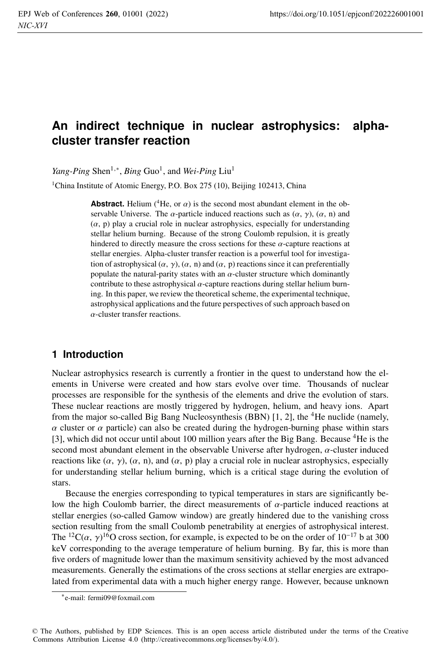# **An indirect technique in nuclear astrophysics: alphacluster transfer reaction**

*Yang-Ping* Shen<sup>1,∗</sup>, *Bing* Guo<sup>1</sup>, and *Wei-Ping* Liu<sup>1</sup>

<sup>1</sup>China Institute of Atomic Energy, P.O. Box 275 (10), Beijing 102413, China

**Abstract.** Helium ( ${}^4$ He, or  $\alpha$ ) is the second most abundant element in the observable Universe. The  $\alpha$ -particle induced reactions such as  $(\alpha, \gamma)$ ,  $(\alpha, n)$  and  $(\alpha, p)$  play a crucial role in nuclear astrophysics, especially for understanding stellar helium burning. Because of the strong Coulomb repulsion, it is greatly hindered to directly measure the cross sections for these  $\alpha$ -capture reactions at stellar energies. Alpha-cluster transfer reaction is a powerful tool for investigation of astrophysical  $(\alpha, \gamma)$ ,  $(\alpha, n)$  and  $(\alpha, p)$  reactions since it can preferentially populate the natural-parity states with an  $\alpha$ -cluster structure which dominantly contribute to these astrophysical  $\alpha$ -capture reactions during stellar helium burning. In this paper, we review the theoretical scheme, the experimental technique, astrophysical applications and the future perspectives of such approach based on  $\alpha$ -cluster transfer reactions.

## **1 Introduction**

Nuclear astrophysics research is currently a frontier in the quest to understand how the elements in Universe were created and how stars evolve over time. Thousands of nuclear processes are responsible for the synthesis of the elements and drive the evolution of stars. These nuclear reactions are mostly triggered by hydrogen, helium, and heavy ions. Apart from the major so-called Big Bang Nucleosynthesis (BBN)  $[1, 2]$ , the <sup>4</sup>He nuclide (namely,  $\alpha$  cluster or  $\alpha$  particle) can also be created during the hydrogen-burning phase within stars [3], which did not occur until about 100 million years after the Big Bang. Because <sup>4</sup>He is the second most abundant element in the observable Universe after hydrogen, α-cluster induced reactions like  $(\alpha, \gamma)$ ,  $(\alpha, n)$ , and  $(\alpha, p)$  play a crucial role in nuclear astrophysics, especially for understanding stellar helium burning, which is a critical stage during the evolution of stars.

Because the energies corresponding to typical temperatures in stars are significantly below the high Coulomb barrier, the direct measurements of  $\alpha$ -particle induced reactions at stellar energies (so-called Gamow window) are greatly hindered due to the vanishing cross section resulting from the small Coulomb penetrability at energies of astrophysical interest. The <sup>12</sup>C( $\alpha$ ,  $\gamma$ )<sup>16</sup>O cross section, for example, is expected to be on the order of 10<sup>-17</sup> b at 300 keV corresponding to the average temperature of helium burning. By far, this is more than five orders of magnitude lower than the maximum sensitivity achieved by the most advanced measurements. Generally the estimations of the cross sections at stellar energies are extrapolated from experimental data with a much higher energy range. However, because unknown

<sup>∗</sup>e-mail: fermi09@foxmail.com

<sup>©</sup> The Authors, published by EDP Sciences. This is an open access article distributed under the terms of the Creative Commons Attribution License 4.0 (http://creativecommons.org/licenses/by/4.0/).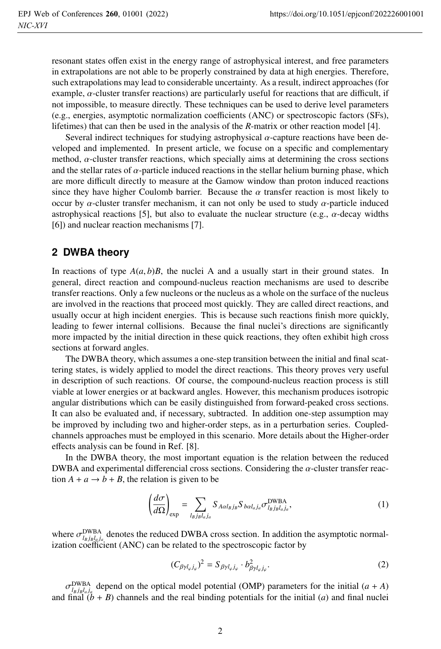resonant states offen exist in the energy range of astrophysical interest, and free parameters in extrapolations are not able to be properly constrained by data at high energies. Therefore, such extrapolations may lead to considerable uncertainty. As a result, indirect approaches (for example,  $\alpha$ -cluster transfer reactions) are particularly useful for reactions that are difficult, if not impossible, to measure directly. These techniques can be used to derive level parameters (e.g., energies, asymptotic normalization coefficients (ANC) or spectroscopic factors (SFs), lifetimes) that can then be used in the analysis of the *R*-matrix or other reaction model [4].

Several indirect techniques for studying astrophysical  $\alpha$ -capture reactions have been developed and implemented. In present article, we focuse on a specific and complementary method,  $\alpha$ -cluster transfer reactions, which specially aims at determining the cross sections and the stellar rates of  $\alpha$ -particle induced reactions in the stellar helium burning phase, which are more difficult directly to measure at the Gamow window than proton induced reactions since they have higher Coulomb barrier. Because the  $\alpha$  transfer reaction is most likely to occur by  $\alpha$ -cluster transfer mechanism, it can not only be used to study  $\alpha$ -particle induced astrophysical reactions [5], but also to evaluate the nuclear structure (e.g.,  $\alpha$ -decay widths [6]) and nuclear reaction mechanisms [7].

### **2 DWBA theory**

In reactions of type  $A(a, b)B$ , the nuclei A and a usually start in their ground states. In general, direct reaction and compound-nucleus reaction mechanisms are used to describe transfer reactions. Only a few nucleons or the nucleus as a whole on the surface of the nucleus are involved in the reactions that proceed most quickly. They are called direct reactions, and usually occur at high incident energies. This is because such reactions finish more quickly, leading to fewer internal collisions. Because the final nuclei's directions are significantly more impacted by the initial direction in these quick reactions, they often exhibit high cross sections at forward angles.

The DWBA theory, which assumes a one-step transition between the initial and final scattering states, is widely applied to model the direct reactions. This theory proves very useful in description of such reactions. Of course, the compound-nucleus reaction process is still viable at lower energies or at backward angles. However, this mechanism produces isotropic angular distributions which can be easily distinguished from forward-peaked cross sections. It can also be evaluated and, if necessary, subtracted. In addition one-step assumption may be improved by including two and higher-order steps, as in a perturbation series. Coupledchannels approaches must be employed in this scenario. More details about the Higher-order effects analysis can be found in Ref. [8].

In the DWBA theory, the most important equation is the relation between the reduced DWBA and experimental differencial cross sections. Considering the  $\alpha$ -cluster transfer reaction  $A + a \rightarrow b + B$ , the relation is given to be

$$
\left(\frac{d\sigma}{d\Omega}\right)_{\text{exp}} = \sum_{l_Bj_Bl_aj_a} S_{A\alpha l_Bj_B} S_{b\alpha l_a j_a} \sigma_{l_Bj_Bl_aj_a}^{\text{DWBA}},\tag{1}
$$

where  $\sigma_{l_Bj_Bl_Bj_a}^{\text{DWBA}}$  denotes the reduced DWBA cross section. In addition the asymptotic normalization coefficient (ANC) can be related to the spectroscopic factor by

$$
(C_{\beta\gamma l_{\varphi}j_{\varphi}})^2 = S_{\beta\gamma l_{\varphi}j_{\varphi}} \cdot b_{\beta\gamma l_{\varphi}j_{\varphi}}^2.
$$
 (2)

 $\sigma_{l_{BjB}l_{a}j_{a}}^{\text{DWBA}}$  depend on the optical model potential (OMP) parameters for the initial (*a* + *A*) and final  $(b + B)$  channels and the real binding potentials for the initial (*a*) and final nuclei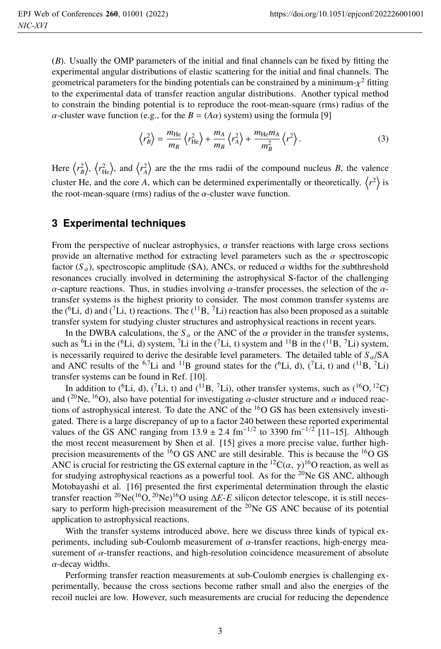(*B*). Usually the OMP parameters of the initial and final channels can be fixed by fitting the experimental angular distributions of elastic scattering for the initial and final channels. The geometrical parameters for the binding potentials can be constrained by a minimum- $\chi^2$  fitting to the experimental data of transfer reaction angular distributions. Another typical method to constrain the binding potential is to reproduce the root-mean-square (rms) radius of the  $\alpha$ -cluster wave function (e.g., for the  $B = (A\alpha)$  system) using the formula [9]

$$
\left\langle r_B^2 \right\rangle = \frac{m_{\text{He}}}{m_B} \left\langle r_{\text{He}}^2 \right\rangle + \frac{m_A}{m_B} \left\langle r_A^2 \right\rangle + \frac{m_{\text{He}} m_A}{m_B^2} \left\langle r^2 \right\rangle. \tag{3}
$$

Here  $\langle r_B^2 \rangle$ ,  $\langle r_{\rm He}^2 \rangle$ , and  $\langle r_A^2 \rangle$  are the the rms radii of the compound nucleus *B*, the valence cluster He, and the core A, which can be determined experimentally or theoretically.  $\langle r^2 \rangle$  is the root-mean-square (rms) radius of the  $\alpha$ -cluster wave function.

### **3 Experimental techniques**

From the perspective of nuclear astrophysics,  $\alpha$  transfer reactions with large cross sections provide an alternative method for extracting level parameters such as the  $\alpha$  spectroscopic factor  $(S_\alpha)$ , spectroscopic amplitude (SA), ANCs, or reduced  $\alpha$  widths for the subthreshold resonances crucially involved in determining the astrophysical S-factor of the challenging  $\alpha$ -capture reactions. Thus, in studies involving  $\alpha$ -transfer processes, the selection of the  $\alpha$ transfer systems is the highest priority to consider. The most common transfer systems are the (<sup>6</sup>Li, d) and (<sup>7</sup>Li, t) reactions. The (<sup>11</sup>B, <sup>7</sup>Li) reaction has also been proposed as a suitable transfer system for studying cluster structures and astrophysical reactions in recent years.

In the DWBA calculations, the  $S_\alpha$  or the ANC of the  $\alpha$  provider in the transfer systems, such as <sup>6</sup>Li in the (<sup>6</sup>Li, d) system, <sup>7</sup>Li in the (<sup>7</sup>Li, t) system and <sup>11</sup>B in the (<sup>11</sup>B, <sup>7</sup>Li) system, is necessarily required to derive the desirable level parameters. The detailed table of  $S_{\alpha}/SA$ and ANC results of the <sup>6,7</sup>Li and <sup>11</sup>B ground states for the (<sup>6</sup>Li, d), (<sup>7</sup>Li, t) and (<sup>11</sup>B, <sup>7</sup>Li) transfer systems can be found in Ref. [10].

In addition to (<sup>6</sup>Li, d), (<sup>7</sup>Li, t) and (<sup>11</sup>B, <sup>7</sup>Li), other transfer systems, such as (<sup>16</sup>O, <sup>12</sup>C) and (<sup>20</sup>Ne, <sup>16</sup>O), also have potential for investigating  $\alpha$ -cluster structure and  $\alpha$  induced reactions of astrophysical interest. To date the ANC of the  ${}^{16}O$  GS has been extensively investigated. There is a large discrepancy of up to a factor 240 between these reported experimental values of the GS ANC ranging from  $13.9 \pm 2.4$  fm<sup>-1/2</sup> to 3390 fm<sup>-1/2</sup> [11–15]. Although the most recent measurement by Shen et al. [15] gives a more precise value, further highprecision measurements of the  ${}^{16}O$  GS ANC are still desirable. This is because the  ${}^{16}O$  GS ANC is crucial for restricting the GS external capture in the <sup>12</sup>C( $\alpha$ ,  $\gamma$ )<sup>16</sup>O reaction, as well as for studying astrophysical reactions as a powerful tool. As for the <sup>20</sup>Ne GS ANC, although Motobayashi et al. [16] presented the first experimental determination through the elastic transfer reaction <sup>20</sup>Ne(<sup>16</sup>O, <sup>20</sup>Ne)<sup>16</sup>O using  $\Delta E$ -*E* silicon detector telescope, it is still necessary to perform high-precision measurement of the  $^{20}$ Ne GS ANC because of its potential application to astrophysical reactions.

With the transfer systems introduced above, here we discuss three kinds of typical experiments, including sub-Coulomb measurement of  $\alpha$ -transfer reactions, high-energy measurement of  $\alpha$ -transfer reactions, and high-resolution coincidence measurement of absolute  $\alpha$ -decay widths.

Performing transfer reaction measurements at sub-Coulomb energies is challenging experimentally, because the cross sections become rather small and also the energies of the recoil nuclei are low. However, such measurements are crucial for reducing the dependence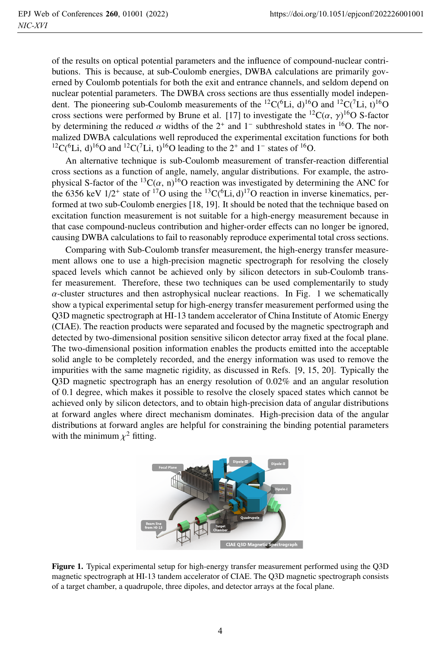of the results on optical potential parameters and the influence of compound-nuclear contributions. This is because, at sub-Coulomb energies, DWBA calculations are primarily governed by Coulomb potentials for both the exit and entrance channels, and seldom depend on nuclear potential parameters. The DWBA cross sections are thus essentially model independent. The pioneering sub-Coulomb measurements of the <sup>12</sup>C(<sup>6</sup>Li, d)<sup>16</sup>O and <sup>12</sup>C(<sup>7</sup>Li, t)<sup>16</sup>O cross sections were performed by Brune et al. [17] to investigate the  ${}^{12}C(\alpha, \gamma)^{16}O$  S-factor by determining the reduced  $\alpha$  widths of the 2<sup>+</sup> and 1<sup>-</sup> subthreshold states in <sup>16</sup>O. The normalized DWBA calculations well reproduced the experimental excitation functions for both  $12C({}^{6}Li, d)$ <sup>16</sup>O and  $12C({}^{7}Li, t)$ <sup>16</sup>O leading to the 2<sup>+</sup> and 1<sup>-</sup> states of <sup>16</sup>O.

An alternative technique is sub-Coulomb measurement of transfer-reaction differential cross sections as a function of angle, namely, angular distributions. For example, the astrophysical S-factor of the <sup>13</sup>C( $\alpha$ , n)<sup>16</sup>O reaction was investigated by determining the ANC for the 6356 keV  $1/2^+$  state of <sup>17</sup>O using the <sup>13</sup>C(<sup>6</sup>Li, d)<sup>17</sup>O reaction in inverse kinematics, performed at two sub-Coulomb energies [18, 19]. It should be noted that the technique based on excitation function measurement is not suitable for a high-energy measurement because in that case compound-nucleus contribution and higher-order effects can no longer be ignored, causing DWBA calculations to fail to reasonably reproduce experimental total cross sections.

Comparing with Sub-Coulomb transfer measurement, the high-energy transfer measurement allows one to use a high-precision magnetic spectrograph for resolving the closely spaced levels which cannot be achieved only by silicon detectors in sub-Coulomb transfer measurement. Therefore, these two techniques can be used complementarily to study  $\alpha$ -cluster structures and then astrophysical nuclear reactions. In Fig. 1 we schematically show a typical experimental setup for high-energy transfer measurement performed using the Q3D magnetic spectrograph at HI-13 tandem accelerator of China Institute of Atomic Energy (CIAE). The reaction products were separated and focused by the magnetic spectrograph and detected by two-dimensional position sensitive silicon detector array fixed at the focal plane. The two-dimensional position information enables the products emitted into the acceptable solid angle to be completely recorded, and the energy information was used to remove the impurities with the same magnetic rigidity, as discussed in Refs. [9, 15, 20]. Typically the Q3D magnetic spectrograph has an energy resolution of 0.02% and an angular resolution of 0.1 degree, which makes it possible to resolve the closely spaced states which cannot be achieved only by silicon detectors, and to obtain high-precision data of angular distributions at forward angles where direct mechanism dominates. High-precision data of the angular distributions at forward angles are helpful for constraining the binding potential parameters with the minimum  $\chi^2$  fitting.



Figure 1. Typical experimental setup for high-energy transfer measurement performed using the Q3D magnetic spectrograph at HI-13 tandem accelerator of CIAE. The Q3D magnetic spectrograph consists of a target chamber, a quadrupole, three dipoles, and detector arrays at the focal plane.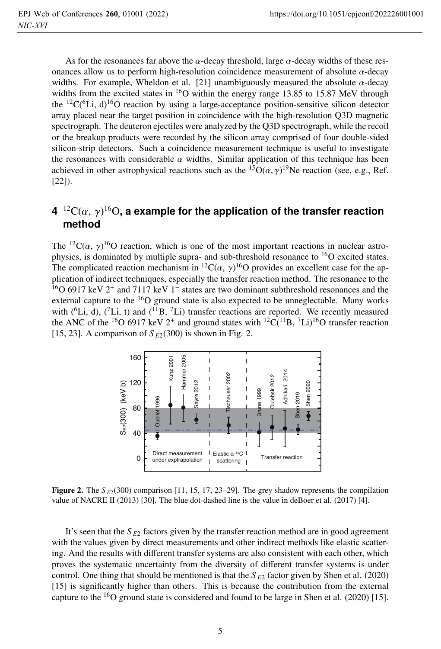As for the resonances far above the  $\alpha$ -decay threshold, large  $\alpha$ -decay widths of these resonances allow us to perform high-resolution coincidence measurement of absolute  $\alpha$ -decay widths. For example, Wheldon et al. [21] unambiguously measured the absolute  $\alpha$ -decay widths from the excited states in  ${}^{16}O$  within the energy range 13.85 to 15.87 MeV through the  ${}^{12}C(^{6}Li, d){}^{16}O$  reaction by using a large-acceptance position-sensitive silicon detector array placed near the target position in coincidence with the high-resolution Q3D magnetic spectrograph. The deuteron ejectiles were analyzed by the Q3D spectrograph, while the recoil or the breakup products were recorded by the silicon array comprised of four double-sided silicon-strip detectors. Such a coincidence measurement technique is useful to investigate the resonances with considerable  $\alpha$  widths. Similar application of this technique has been achieved in other astrophysical reactions such as the <sup>15</sup>O( $\alpha$ ,  $\gamma$ )<sup>19</sup>Ne reaction (see, e.g., Ref. [22]).

## $4^{-12}{\rm C}(\alpha,\,\gamma)^{16}{\rm O}$ , a example for the application of the transfer reaction **method**

The <sup>12</sup>C( $\alpha$ ,  $\gamma$ )<sup>16</sup>O reaction, which is one of the most important reactions in nuclear astrophysics, is dominated by multiple supra- and sub-threshold resonance to  ${}^{16}O$  excited states. The complicated reaction mechanism in <sup>12</sup>C( $\alpha$ ,  $\gamma$ )<sup>16</sup>O provides an excellent case for the application of indirect techniques, especially the transfer reaction method. The resonance to the 16O 6917 keV 2<sup>+</sup> and 7117 keV 1<sup>−</sup> states are two dominant subthreshold resonances and the external capture to the  $^{16}O$  ground state is also expected to be unneglectable. Many works with ( ${}^{6}Li$ , d), ( ${}^{7}Li$ , t) and ( ${}^{11}B$ ,  ${}^{7}Li$ ) transfer reactions are reported. We recently measured the ANC of the <sup>16</sup>O 6917 keV 2<sup>+</sup> and ground states with <sup>12</sup>C(<sup>11</sup>B, <sup>7</sup>Li)<sup>16</sup>O transfer reaction [15, 23]. A comparison of  $S_{E2}(300)$  is shown in Fig. 2.



**Figure 2.** The  $S_{E2}(300)$  comparison [11, 15, 17, 23–29]. The grey shadow represents the compilation value of NACRE II (2013) [30]. The blue dot-dashed line is the value in deBoer et al. (2017) [4].

It's seen that the  $S_{E2}$  factors given by the transfer reaction method are in good agreement with the values given by direct measurements and other indirect methods like elastic scattering. And the results with different transfer systems are also consistent with each other, which proves the systematic uncertainty from the diversity of different transfer systems is under control. One thing that should be mentioned is that the  $S_{E2}$  factor given by Shen et al. (2020) [15] is significantly higher than others. This is because the contribution from the external capture to the  $16$ O ground state is considered and found to be large in Shen et al. (2020) [15].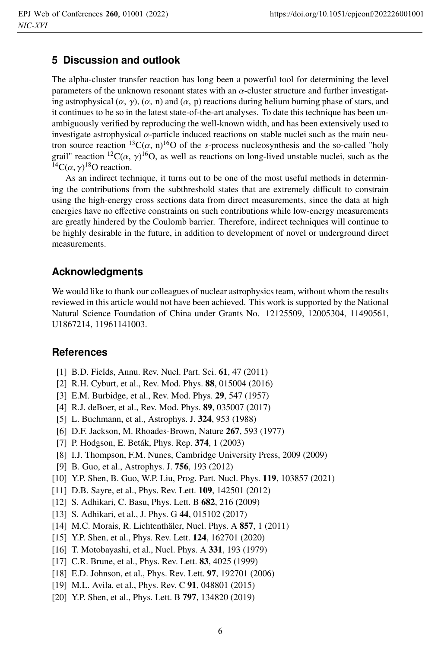### **5 Discussion and outlook**

The alpha-cluster transfer reaction has long been a powerful tool for determining the level parameters of the unknown resonant states with an  $\alpha$ -cluster structure and further investigating astrophysical  $(\alpha, \gamma)$ ,  $(\alpha, n)$  and  $(\alpha, p)$  reactions during helium burning phase of stars, and it continues to be so in the latest state-of-the-art analyses. To date this technique has been unambiguously verified by reproducing the well-known width, and has been extensively used to investigate astrophysical  $\alpha$ -particle induced reactions on stable nuclei such as the main neutron source reaction  ${}^{13}C(\alpha, n){}^{16}O$  of the *s*-process nucleosynthesis and the so-called "holy grail" reaction  ${}^{12}C(\alpha, \gamma) {}^{16}O$ , as well as reactions on long-lived unstable nuclei, such as the <sup>14</sup>C( $\alpha$ ,  $\gamma$ )<sup>18</sup>O reaction.

As an indirect technique, it turns out to be one of the most useful methods in determining the contributions from the subthreshold states that are extremely difficult to constrain using the high-energy cross sections data from direct measurements, since the data at high energies have no effective constraints on such contributions while low-energy measurements are greatly hindered by the Coulomb barrier. Therefore, indirect techniques will continue to be highly desirable in the future, in addition to development of novel or underground direct measurements.

#### **Acknowledgments**

We would like to thank our colleagues of nuclear astrophysics team, without whom the results reviewed in this article would not have been achieved. This work is supported by the National Natural Science Foundation of China under Grants No. 12125509, 12005304, 11490561, U1867214, 11961141003.

#### **References**

- [1] B.D. Fields, Annu. Rev. Nucl. Part. Sci. 61, 47 (2011)
- [2] R.H. Cyburt, et al., Rev. Mod. Phys. 88, 015004 (2016)
- [3] E.M. Burbidge, et al., Rev. Mod. Phys. 29, 547 (1957)
- [4] R.J. deBoer, et al., Rev. Mod. Phys. 89, 035007 (2017)
- [5] L. Buchmann, et al., Astrophys. J. 324, 953 (1988)
- [6] D.F. Jackson, M. Rhoades-Brown, Nature 267, 593 (1977)
- [7] P. Hodgson, E. Beták, Phys. Rep. 374, 1 (2003)
- [8] I.J. Thompson, F.M. Nunes, Cambridge University Press, 2009 (2009)
- [9] B. Guo, et al., Astrophys. J. 756, 193 (2012)
- [10] Y.P. Shen, B. Guo, W.P. Liu, Prog. Part. Nucl. Phys. 119, 103857 (2021)
- [11] D.B. Sayre, et al., Phys. Rev. Lett. **109**, 142501 (2012)
- [12] S. Adhikari, C. Basu, Phys. Lett. B 682, 216 (2009)
- [13] S. Adhikari, et al., J. Phys. G 44, 015102 (2017)
- [14] M.C. Morais, R. Lichtenthäler, Nucl. Phys. A 857, 1 (2011)
- [15] Y.P. Shen, et al., Phys. Rev. Lett. **124**, 162701 (2020)
- [16] T. Motobayashi, et al., Nucl. Phys. A 331, 193 (1979)
- [17] C.R. Brune, et al., Phys. Rev. Lett. **83**, 4025 (1999)
- [18] E.D. Johnson, et al., Phys. Rev. Lett. 97, 192701 (2006)
- [19] M.L. Avila, et al., Phys. Rev. C 91, 048801 (2015)
- [20] Y.P. Shen, et al., Phys. Lett. B **797**, 134820 (2019)